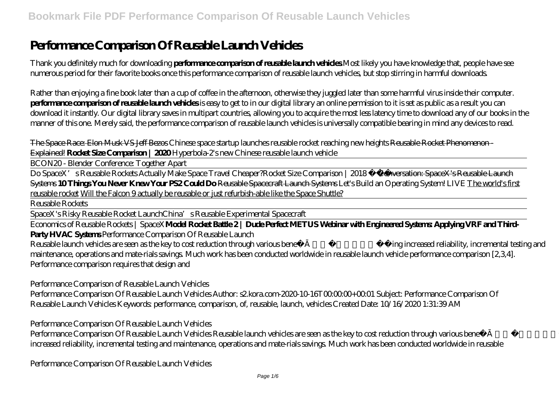## **Performance Comparison Of Reusable Launch Vehicles**

Thank you definitely much for downloading **performance comparison of reusable launch vehicles**.Most likely you have knowledge that, people have see numerous period for their favorite books once this performance comparison of reusable launch vehicles, but stop stirring in harmful downloads.

Rather than enjoying a fine book later than a cup of coffee in the afternoon, otherwise they juggled later than some harmful virus inside their computer. **performance comparison of reusable launch vehicles** is easy to get to in our digital library an online permission to it is set as public as a result you can download it instantly. Our digital library saves in multipart countries, allowing you to acquire the most less latency time to download any of our books in the manner of this one. Merely said, the performance comparison of reusable launch vehicles is universally compatible bearing in mind any devices to read.

The Space Race: Elon Musk VS Jeff Bezos Chinese space startup launches reusable rocket reaching new heights Reusable Rocket Phenomenon - Explained! **Rocket Size Comparison | 2020** *Hyperbola-2's new Chinese reusable launch vehicle*

BCON20 - Blender Conference: Together Apart

Do SpaceX's Reusable Rockets Actually Make Space Travel Cheaper?*Rocket Size Comparison | 2018* <del>Conversation: SpaceX's Reusable Launch</del> Systems **10 Things You Never Knew Your PS2 Could Do** Reusable Spacecraft Launch Systems Let's Build an Operating System! LIVE The world's first reusable rocket Will the Falcon 9 actually be reusable or just refurbish-able like the Space Shuttle?

Reusable Rockets

SpaceX's Risky Reusable Rocket Launch*China's Reusable Experimental Spacecraft*

Economics of Reusable Rockets | SpaceX**Model Rocket Battle 2 | Dude Perfect METUS Webinar with Engineered Systems: Applying VRF and Third-Party HVAC Systems** Performance Comparison Of Reusable Launch

Reusable launch vehicles are seen as the key to cost reduction through various benefits includ-ing increased reliability, incremental testing and maintenance, operations and mate-rials savings. Much work has been conducted worldwide in reusable launch vehicle performance comparison [2,3,4]. Performance comparison requires that design and

Performance Comparison of Reusable Launch Vehicles

Performance Comparison Of Reusable Launch Vehicles Author: s2 kora.com-2020-10-16T00:00:00+00:01 Subject: Performance Comparison Of Reusable Launch Vehicles Keywords: performance, comparison, of, reusable, launch, vehicles Created Date: 10/16/2020 1:31:39 AM

Performance Comparison Of Reusable Launch Vehicles

Performance Comparison Of Reusable Launch Vehicles Reusable launch vehicles are seen as the key to cost reduction through various benefit is includ-ing increased reliability, incremental testing and maintenance, operations and mate-rials savings. Much work has been conducted worldwide in reusable

Performance Comparison Of Reusable Launch Vehicles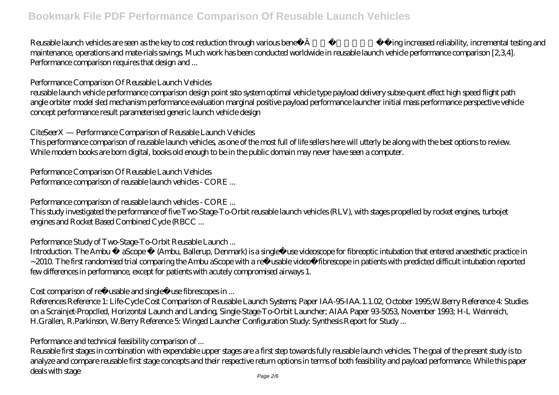Reusable launch vehicles are seen as the key to cost reduction through various benefits includ-ing increased reliability, incremental testing and maintenance, operations and mate-rials savings. Much work has been conducted worldwide in reusable launch vehicle performance comparison [2,3,4]. Performance comparison requires that design and ...

Performance Comparison Of Reusable Launch Vehicles

reusable launch vehicle performance comparison design point ssto system optimal vehicle type payload delivery subse-quent effect high speed flight path angle orbiter model sled mechanism performance evaluation marginal positive payload performance launcher initial mass performance perspective vehicle concept performance result parameterised generic launch vehicle design

CiteSeerX — Performance Comparison of Reusable Launch Vehicles

This performance comparison of reusable launch vehicles, as one of the most full of life sellers here will utterly be along with the best options to review. While modern books are born digital, books old enough to be in the public domain may never have seen a computer.

Performance Comparison Of Reusable Launch Vehicles Performance comparison of reusable launch vehicles - CORE ...

Performance comparison of reusable launch vehicles - CORE ...

This study investigated the performance of five Two-Stage-To-Orbit reusable launch vehicles (RLV), with stages propelled by rocket engines, turbojet engines and Rocket Based Combined Cycle (RBCC ...

Performance Study of Two-Stage-To-Orbit Reusable Launch ...

Introduction. The Ambu ® aScope™ (Ambu, Ballerup, Denmark) is a single use videoscope for fibreoptic intubation that entered anaesthetic practice in ~2010. The first randomised trial comparing the Ambu aScope with a re usable video fibrescope in patients with predicted difficult intubation reported few differences in performance, except for patients with acutely compromised airways 1.

Cost comparison of re usable and single use fibrescopes in ...

References Reference 1: Life-Cycle Cost Comparison of Reusable Launch Systems; Paper IAA-95-IAA.1.1.02, October 1995;W.Berry Reference 4: Studies on a Scrainjet-Propclled, Horizontal Launch and Landing, Single-Stage-To-Orbit Launcher; AIAA Paper 93-5053, November 1993; H-L Weinreich, H.Grallen, R.Parkinson, W.Berry Reference 5: Winged Launcher Configuration Study. Synthesis Report for Study...

Performance and technical feasibility comparison of ...

Reusable first stages in combination with expendable upper stages are a first step towards fully reusable launch vehicles. The goal of the present study is to analyze and compare reusable first stage concepts and their respective return options in terms of both feasibility and payload performance. While this paper deals with stage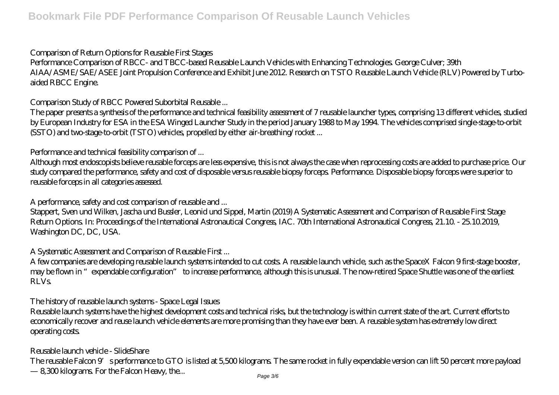## Comparison of Return Options for Reusable First Stages

Performance Comparison of RBCC- and TBCC-based Reusable Launch Vehicles with Enhancing Technologies. George Culver; 39th AIAA/ASME/SAE/ASEE Joint Propulsion Conference and Exhibit June 2012. Research on TSTO Reusable Launch Vehicle (RLV) Powered by Turboaided RBCC Engine.

Comparison Study of RBCC Powered Suborbital Reusable ...

The paper presents a synthesis of the performance and technical feasibility assessment of 7 reusable launcher types, comprising 13 different vehicles, studied by European Industry for ESA in the ESA Winged Launcher Study in the period January 1988 to May 1994. The vehicles comprised single-stage-to-orbit (SSTO) and two-stage-to-orbit (TSTO) vehicles, propelled by either air-breathing/rocket ...

Performance and technical feasibility comparison of ...

Although most endoscopists believe reusable forceps are less expensive, this is not always the case when reprocessing costs are added to purchase price. Our study compared the performance, safety and cost of disposable versus reusable biopsy forceps. Performance. Disposable biopsy forceps were superior to reusable forceps in all categories assessed.

A performance, safety and cost comparison of reusable and ...

Stappert, Sven und Wilken, Jascha und Bussler, Leonid und Sippel, Martin (2019) A Systematic Assessment and Comparison of Reusable First Stage Return Options. In: Proceedings of the International Astronautical Congress, IAC. 70th International Astronautical Congress, 21.10. - 25.10.2019, Washington DC, DC, USA.

A Systematic Assessment and Comparison of Reusable First ...

A few companies are developing reusable launch systems intended to cut costs. A reusable launch vehicle, such as the SpaceX Falcon 9 first-stage booster, may be flown in "expendable configuration" to increase performance, although this is unusual. The now-retired Space Shuttle was one of the earliest RLVs.

The history of reusable launch systems - Space Legal Issues

Reusable launch systems have the highest development costs and technical risks, but the technology is within current state of the art. Current efforts to economically recover and reuse launch vehicle elements are more promising than they have ever been. A reusable system has extremely low direct operating costs.

Reusable launch vehicle - SlideShare

The reusable Falcon 9's performance to GTO is listed at 5,500 kilograms. The same rocket in fully expendable version can lift 50 percent more payload — 8,300 kilograms. For the Falcon Heavy, the... Page 3/6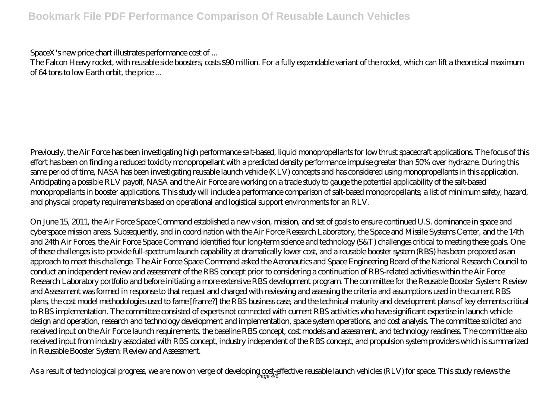SpaceX's new price chart illustrates performance cost of ...

The Falcon Heavy rocket, with reusable side boosters, costs \$90 million. For a fully expendable variant of the rocket, which can lift a theoretical maximum of 64 tons to low-Earth orbit, the price ...

Previously, the Air Force has been investigating high performance salt-based, liquid monopropellants for low thrust spacecraft applications. The focus of this effort has been on finding a reduced toxicity monopropellant with a predicted density performance impulse greater than 50% over hydrazne. During this same period of time, NASA has been investigating reusable launch vehicle (KLV) concepts and has considered using monopropellants in this application. Anticipating a possible RLV payoff, NASA and the Air Force are working on a trade study to gauge the potential applicability of the salt-based monopropellants in booster applications. This study will include a performance comparison of salt-based monopropellants; a list of minimum safety, hazard, and physical property requirements based on operational and logistical support environments for an RLV.

On June 15, 2011, the Air Force Space Command established a new vision, mission, and set of goals to ensure continued U.S. dominance in space and cyberspace mission areas. Subsequently, and in coordination with the Air Force Research Laboratory, the Space and Missile Systems Center, and the 14th and 24th Air Forces, the Air Force Space Command identified four long-term science and technology (S&T) challenges critical to meeting these goals. One of these challenges is to provide full-spectrum launch capability at dramatically lower cost, and a reusable booster system (RBS) has been proposed as an approach to meet this challenge. The Air Force Space Command asked the Aeronautics and Space Engineering Board of the National Research Council to conduct an independent review and assessment of the RBS concept prior to considering a continuation of RBS-related activities within the Air Force Research Laboratory portfolio and before initiating a more extensive RBS development program. The committee for the Reusable Booster System: Review and Assessment was formed in response to that request and charged with reviewing and assessing the criteria and assumptions used in the current RBS plans, the cost model methodologies used to fame [frame?] the RBS business case, and the technical maturity and development plans of key elements critical to RBS implementation. The committee consisted of experts not connected with current RBS activities who have significant expertise in launch vehicle design and operation, research and technology development and implementation, space system operations, and cost analysis. The committee solicited and received input on the Air Force launch requirements, the baseline RBS concept, cost models and assessment, and technology readiness. The committee also received input from industry associated with RBS concept, industry independent of the RBS concept, and propulsion system providers which is summarized in Reusable Booster System: Review and Assessment.

As a result of technological progress, we are now on verge of developing <u>cost-</u>effective reusable launch vehicles (RLV) for space. This study reviews the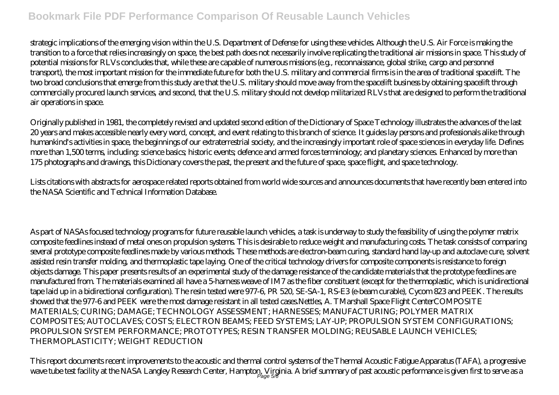strategic implications of the emerging vision within the U.S. Department of Defense for using these vehicles. Although the U.S. Air Force is making the transition to a force that relies increasingly on space, the best path does not necessarily involve replicating the traditional air missions in space. This study of potential missions for RLVs concludes that, while these are capable of numerous missions (e.g., reconnaissance, global strike, cargo and personnel transport), the most important mission for the immediate future for both the U.S. military and commercial firms is in the area of traditional spacelift. The two broad conclusions that emerge from this study are that the U.S. military should move away from the spacelift business by obtaining spacelift through commercially procured launch services, and second, that the U.S. military should not develop militarized RLVs that are designed to perform the traditional air operations in space.

Originally published in 1981, the completely revised and updated second edition of the Dictionary of Space Technology illustrates the advances of the last 20 years and makes accessible nearly every word, concept, and event relating to this branch of science. It guides lay persons and professionals alike through humankind's activities in space, the beginnings of our extraterrestrial society, and the increasingly important role of space sciences in everyday life. Defines more than 1,500 terms, including: science basics; historic events; defence and armed forces terminology; and planetary sciences. Enhanced by more than 175 photographs and drawings, this Dictionary covers the past, the present and the future of space, space flight, and space technology.

Lists citations with abstracts for aerospace related reports obtained from world wide sources and announces documents that have recently been entered into the NASA Scientific and Technical Information Database.

As part of NASAs focused technology programs for future reusable launch vehicles, a task is underway to study the feasibility of using the polymer matrix composite feedlines instead of metal ones on propulsion systems. This is desirable to reduce weight and manufacturing costs. The task consists of comparing several prototype composite feedlines made by various methods. These methods are electron-beam curing, standard hand lay-up and autoclave cure, solvent assisted resin transfer molding, and thermoplastic tape laying. One of the critical technology drivers for composite components is resistance to foreign objects damage. This paper presents results of an experimental study of the damage resistance of the candidate materials that the prototype feedlines are manufactured from. The materials examined all have a 5-harness weave of IM7 as the fiber constituent (except for the thermoplastic, which is unidirectional tape laid up in a bidirectional configuration). The resin tested were 977-6, PR 520, SE-SA-1, RS-E3 (e-beam curable), Cycom 823 and PEEK. The results showed that the 977-6 and PEEK were the most damage resistant in all tested cases.Nettles, A. TMarshall Space Flight CenterCOMPOSITE MATERIALS; CURING; DAMAGE; TECHNOLOGY ASSESSMENT; HARNESSES; MANUFACTURING; POLYMER MATRIX COMPOSITES; AUTOCLAVES; COSTS; ELECTRON BEAMS; FEED SYSTEMS; LAY-UP; PROPULSION SYSTEM CONFIGURATIONS; PROPULSION SYSTEM PERFORMANCE; PROTOTYPES; RESIN TRANSFER MOLDING; REUSABLE LAUNCH VEHICLES; THERMOPLASTICITY; WEIGHT REDUCTION

This report documents recent improvements to the acoustic and thermal control systems of the Thermal Acoustic Fatigue Apparatus (TAFA), a progressive wave tube test facility at the NASA Langley Research Center, Hampton, Virginia. A brief summary of past acoustic performance is given first to serve as a